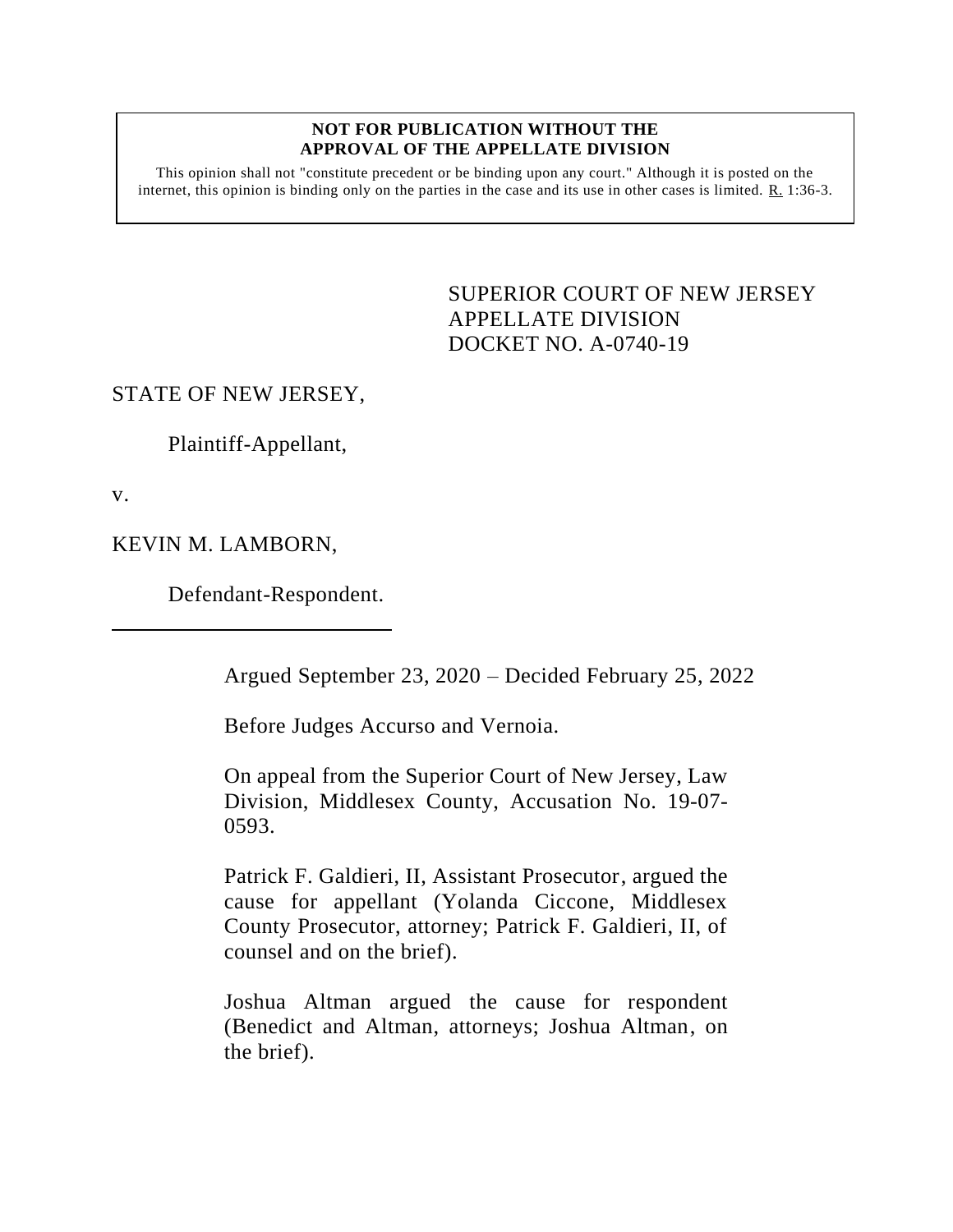## **NOT FOR PUBLICATION WITHOUT THE APPROVAL OF THE APPELLATE DIVISION**

This opinion shall not "constitute precedent or be binding upon any court." Although it is posted on the internet, this opinion is binding only on the parties in the case and its use in other cases is limited. R. 1:36-3.

> <span id="page-0-0"></span>SUPERIOR COURT OF NEW JERSEY APPELLATE DIVISION DOCKET NO. A-0740-19

## STATE OF NEW JERSEY,

Plaintiff-Appellant,

v.

KEVIN M. LAMBORN,

Defendant-Respondent.

Argued September 23, 2020 – Decided February 25, 2022

Before Judges Accurso and Vernoia.

On appeal from the Superior Court of New Jersey, Law Division, Middlesex County, Accusation No. 19-07- 0593.

Patrick F. Galdieri, II, Assistant Prosecutor, argued the cause for appellant (Yolanda Ciccone, Middlesex County Prosecutor, attorney; Patrick F. Galdieri, II, of counsel and on the brief).

Joshua Altman argued the cause for respondent (Benedict and Altman, attorneys; Joshua Altman, on the brief).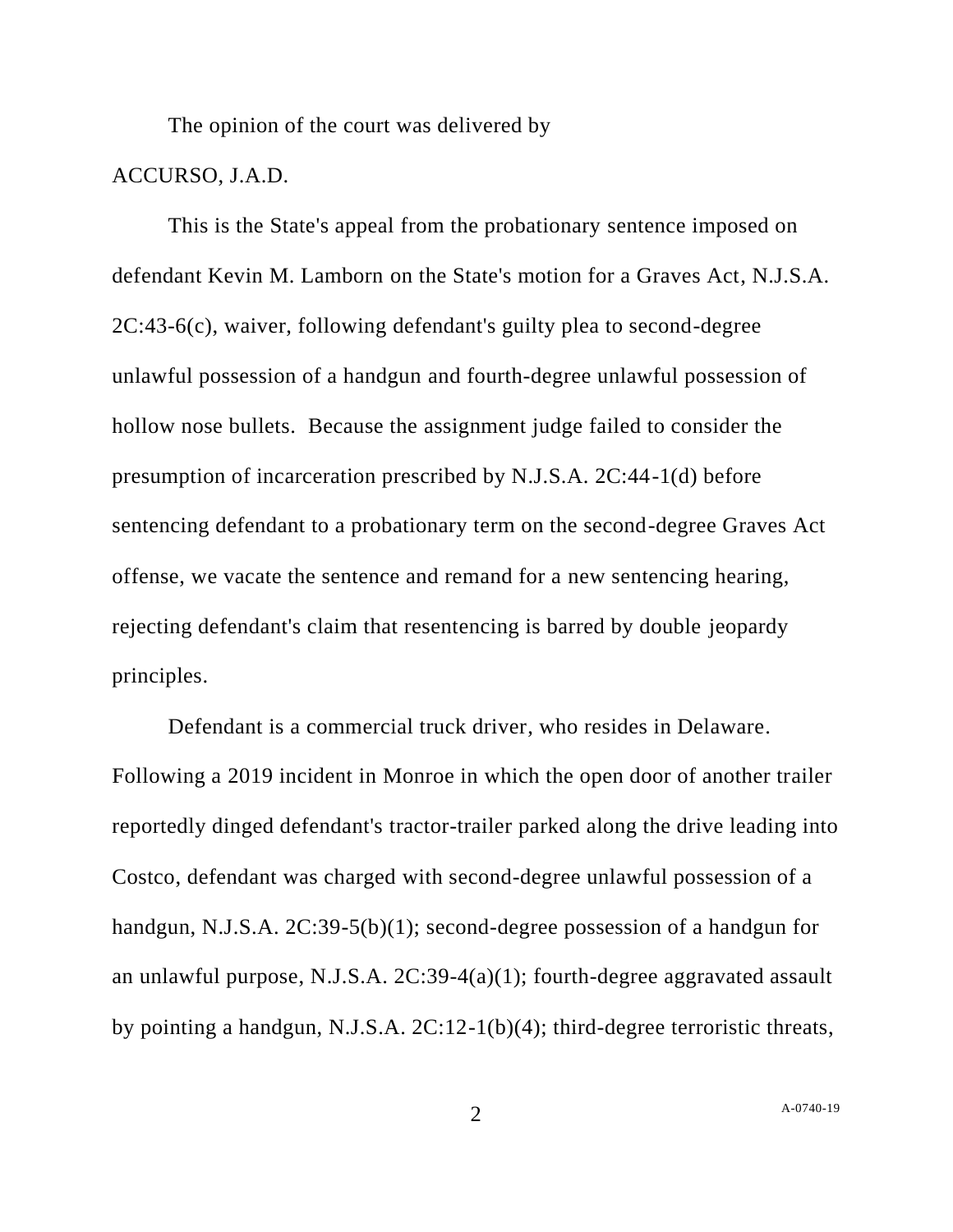The opinion of the court was delivered by

## ACCURSO, J.A.D.

This is the State's appeal from the probationary sentence imposed on defendant Kevin M. Lamborn on the State's motion for a Graves Act, N.J.S.A. 2C:43-6(c), waiver, following defendant's guilty plea to second-degree unlawful possession of a handgun and fourth-degree unlawful possession of hollow nose bullets. Because the assignment judge failed to consider the presumption of incarceration prescribed by N.J.S.A. 2C:44-1(d) before sentencing defendant to a probationary term on the second-degree Graves Act offense, we vacate the sentence and remand for a new sentencing hearing, rejecting defendant's claim that resentencing is barred by double jeopardy principles.

Defendant is a commercial truck driver, who resides in Delaware. Following a 2019 incident in Monroe in which the open door of another trailer reportedly dinged defendant's tractor-trailer parked along the drive leading into Costco, defendant was charged with second-degree unlawful possession of a handgun, N.J.S.A. 2C:39-5(b)(1); second-degree possession of a handgun for an unlawful purpose, N.J.S.A. 2C:39-4(a)(1); fourth-degree aggravated assault by pointing a handgun, N.J.S.A. 2C:12-1(b)(4); third-degree terroristic threats,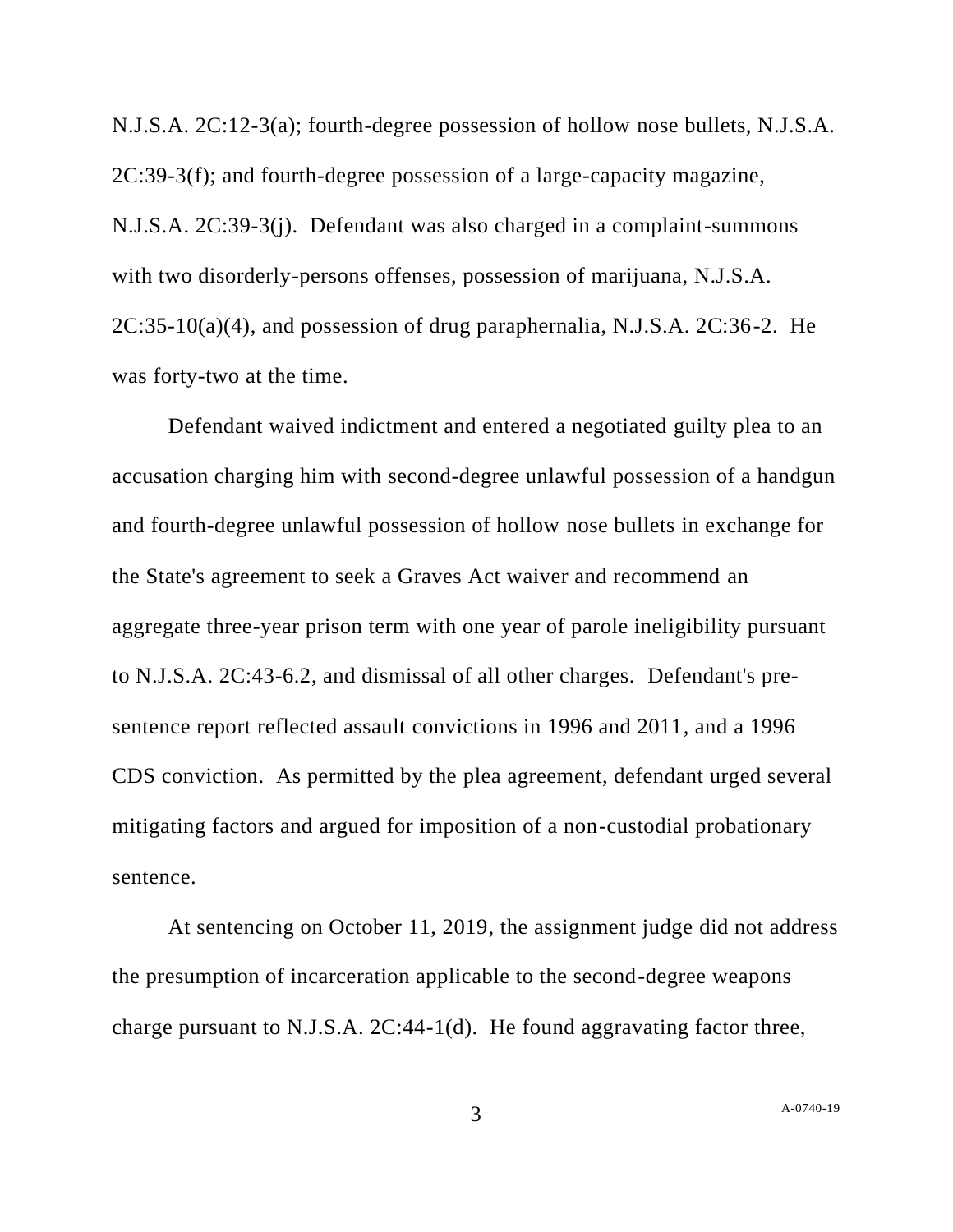N.J.S.A. 2C:12-3(a); fourth-degree possession of hollow nose bullets, N.J.S.A. 2C:39-3(f); and fourth-degree possession of a large-capacity magazine, N.J.S.A. 2C:39-3(j). Defendant was also charged in a complaint-summons with two disorderly-persons offenses, possession of marijuana, N.J.S.A.  $2C:35-10(a)(4)$ , and possession of drug paraphernalia, N.J.S.A.  $2C:36-2$ . He was forty-two at the time.

Defendant waived indictment and entered a negotiated guilty plea to an accusation charging him with second-degree unlawful possession of a handgun and fourth-degree unlawful possession of hollow nose bullets in exchange for the State's agreement to seek a Graves Act waiver and recommend an aggregate three-year prison term with one year of parole ineligibility pursuant to N.J.S.A. 2C:43-6.2, and dismissal of all other charges. Defendant's presentence report reflected assault convictions in 1996 and 2011, and a 1996 CDS conviction. As permitted by the plea agreement, defendant urged several mitigating factors and argued for imposition of a non-custodial probationary sentence.

At sentencing on October 11, 2019, the assignment judge did not address the presumption of incarceration applicable to the second-degree weapons charge pursuant to N.J.S.A. 2C:44-1(d). He found aggravating factor three,

A[-0740-19](#page-0-0)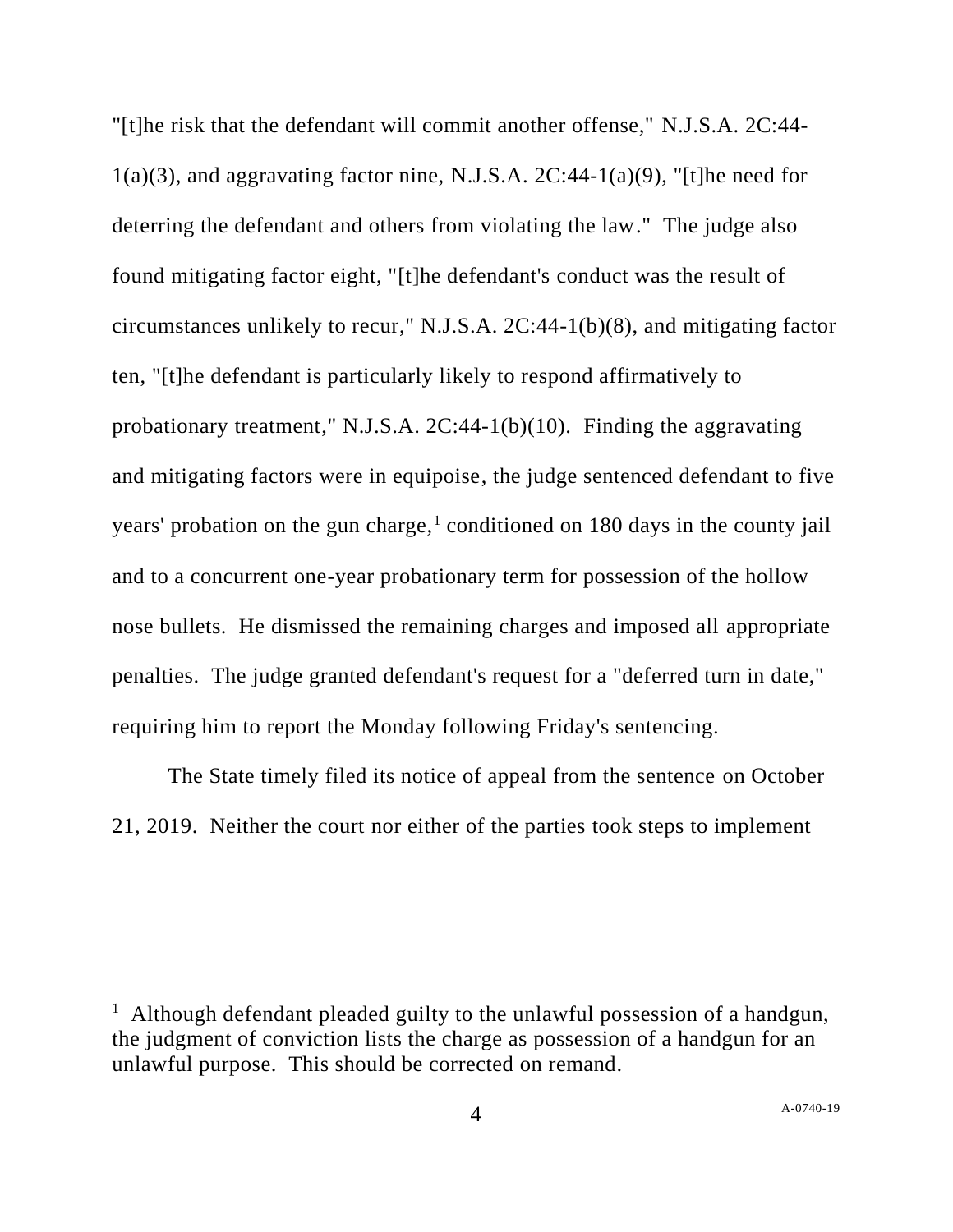"[t]he risk that the defendant will commit another offense," N.J.S.A. 2C:44-  $1(a)(3)$ , and aggravating factor nine, N.J.S.A.  $2C:44-1(a)(9)$ , "[t]he need for deterring the defendant and others from violating the law." The judge also found mitigating factor eight, "[t]he defendant's conduct was the result of circumstances unlikely to recur," N.J.S.A. 2C:44-1(b)(8), and mitigating factor ten, "[t]he defendant is particularly likely to respond affirmatively to probationary treatment," N.J.S.A. 2C:44-1(b)(10). Finding the aggravating and mitigating factors were in equipoise, the judge sentenced defendant to five years' probation on the gun charge,<sup>1</sup> conditioned on 180 days in the county jail and to a concurrent one-year probationary term for possession of the hollow nose bullets. He dismissed the remaining charges and imposed all appropriate penalties. The judge granted defendant's request for a "deferred turn in date," requiring him to report the Monday following Friday's sentencing.

The State timely filed its notice of appeal from the sentence on October 21, 2019. Neither the court nor either of the parties took steps to implement

<sup>&</sup>lt;sup>1</sup> Although defendant pleaded guilty to the unlawful possession of a handgun, the judgment of conviction lists the charge as possession of a handgun for an unlawful purpose. This should be corrected on remand.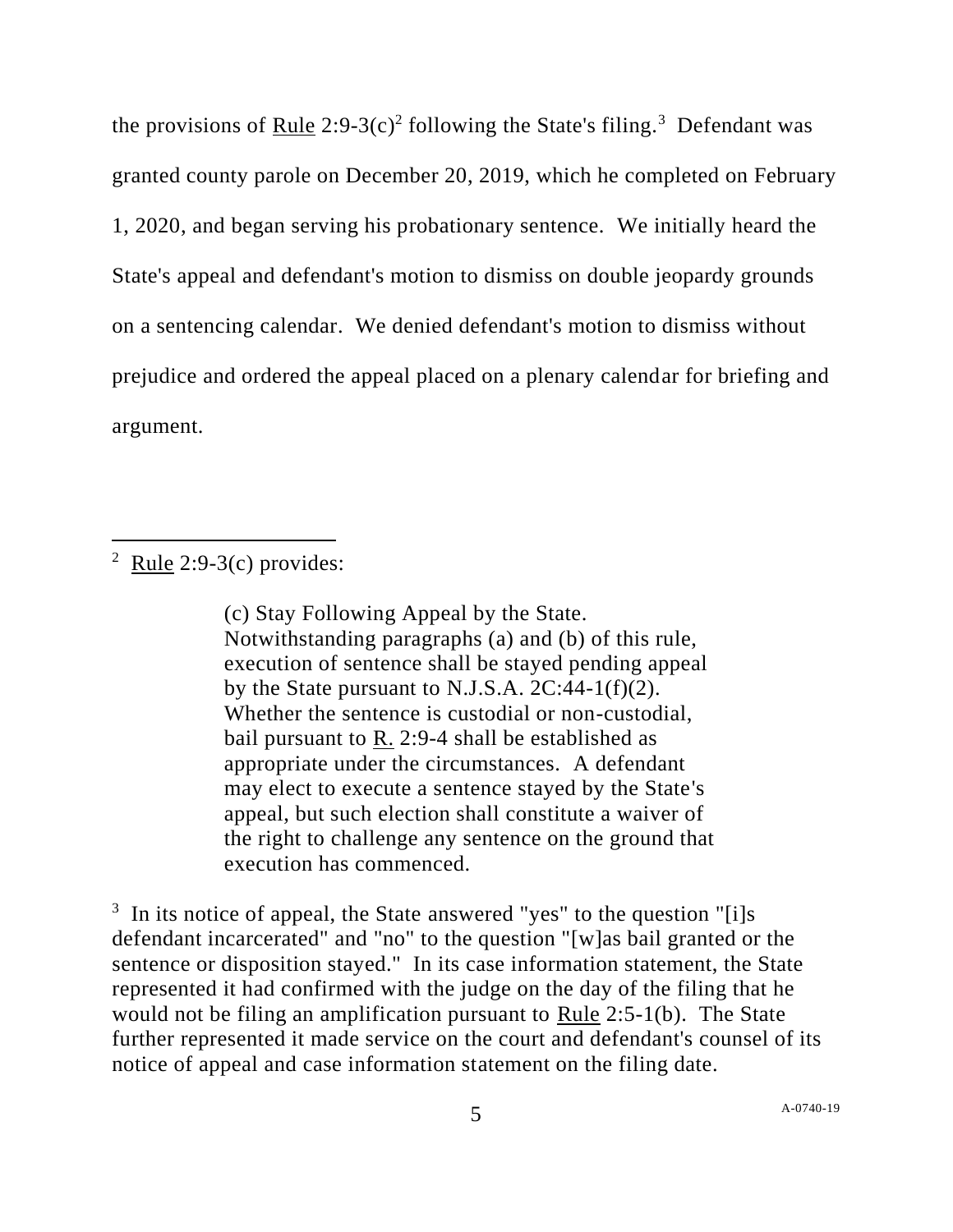the provisions of <u>Rule</u> 2:9-3(c)<sup>2</sup> following the State's filing.<sup>3</sup> Defendant was granted county parole on December 20, 2019, which he completed on February 1, 2020, and began serving his probationary sentence. We initially heard the State's appeal and defendant's motion to dismiss on double jeopardy grounds on a sentencing calendar. We denied defendant's motion to dismiss without prejudice and ordered the appeal placed on a plenary calendar for briefing and argument.

 $2$  Rule 2:9-3(c) provides:

(c) Stay Following Appeal by the State. Notwithstanding paragraphs (a) and (b) of this rule, execution of sentence shall be stayed pending appeal by the State pursuant to N.J.S.A.  $2C:44-1(f)(2)$ . Whether the sentence is custodial or non-custodial, bail pursuant to R. 2:9-4 shall be established as appropriate under the circumstances. A defendant may elect to execute a sentence stayed by the State's appeal, but such election shall constitute a waiver of the right to challenge any sentence on the ground that execution has commenced.

<sup>3</sup> In its notice of appeal, the State answered "yes" to the question "[i]s defendant incarcerated" and "no" to the question "[w]as bail granted or the sentence or disposition stayed." In its case information statement, the State represented it had confirmed with the judge on the day of the filing that he would not be filing an amplification pursuant to Rule 2:5-1(b). The State further represented it made service on the court and defendant's counsel of its notice of appeal and case information statement on the filing date.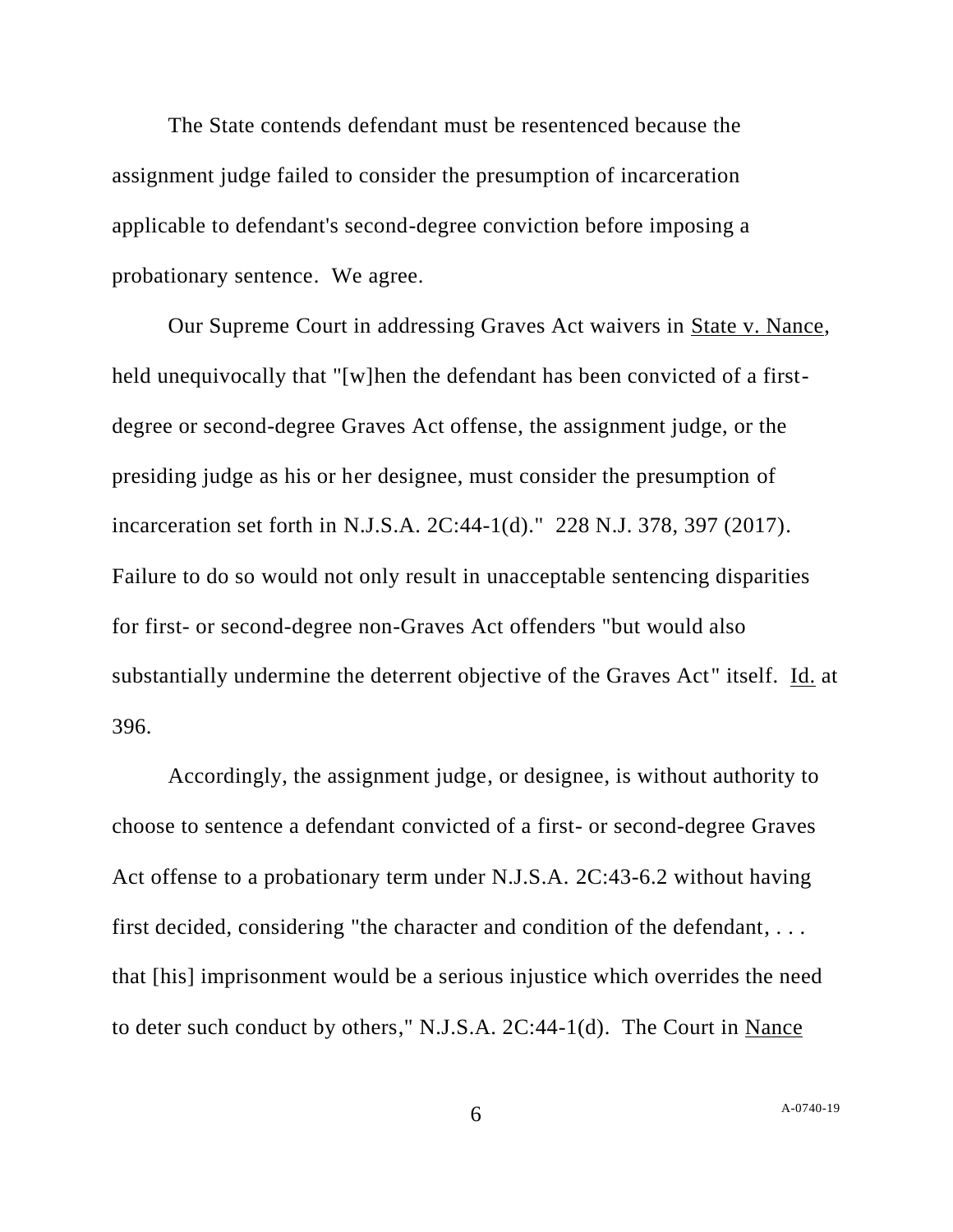The State contends defendant must be resentenced because the assignment judge failed to consider the presumption of incarceration applicable to defendant's second-degree conviction before imposing a probationary sentence. We agree.

Our Supreme Court in addressing Graves Act waivers in State v. Nance, held unequivocally that "[w]hen the defendant has been convicted of a firstdegree or second-degree Graves Act offense, the assignment judge, or the presiding judge as his or her designee, must consider the presumption of incarceration set forth in N.J.S.A. 2C:44-1(d)." 228 N.J. 378, 397 (2017). Failure to do so would not only result in unacceptable sentencing disparities for first- or second-degree non-Graves Act offenders "but would also substantially undermine the deterrent objective of the Graves Act" itself. Id. at 396.

Accordingly, the assignment judge, or designee, is without authority to choose to sentence a defendant convicted of a first- or second-degree Graves Act offense to a probationary term under N.J.S.A. 2C:43-6.2 without having first decided, considering "the character and condition of the defendant, . . . that [his] imprisonment would be a serious injustice which overrides the need to deter such conduct by others," N.J.S.A. 2C:44-1(d). The Court in Nance

6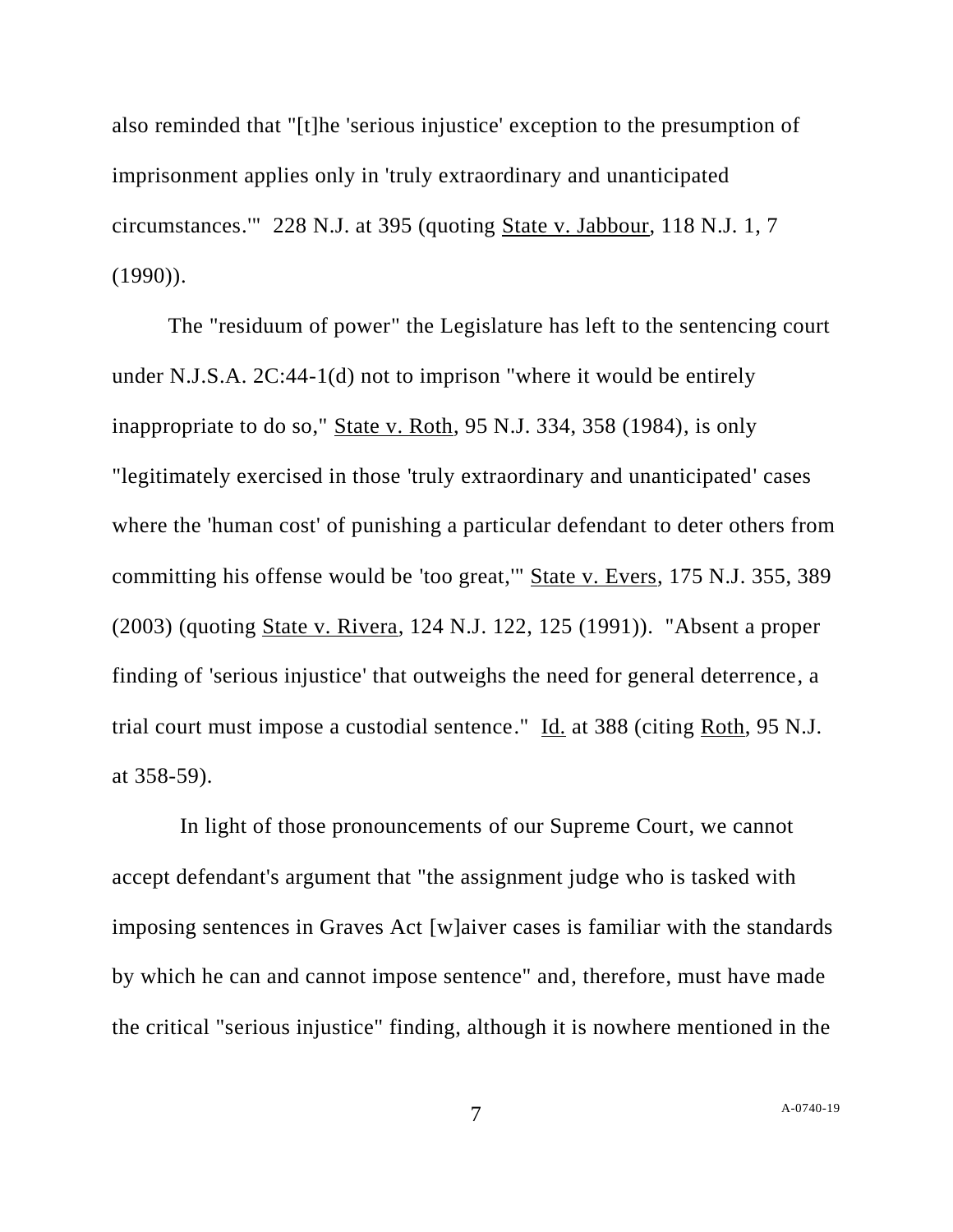also reminded that "[t]he 'serious injustice' exception to the presumption of imprisonment applies only in 'truly extraordinary and unanticipated circumstances.'" 228 N.J. at 395 (quoting State v. Jabbour, 118 N.J. 1, 7  $(1990)$ ).

The "residuum of power" the Legislature has left to the sentencing court under N.J.S.A. 2C:44-1(d) not to imprison "where it would be entirely inappropriate to do so," State v. Roth, 95 N.J. 334, 358 (1984), is only "legitimately exercised in those 'truly extraordinary and unanticipated' cases where the 'human cost' of punishing a particular defendant to deter others from committing his offense would be 'too great,'" State v. Evers, 175 N.J. 355, 389 (2003) (quoting State v. Rivera, 124 N.J. 122, 125 (1991)). "Absent a proper finding of 'serious injustice' that outweighs the need for general deterrence, a trial court must impose a custodial sentence." Id. at 388 (citing Roth, 95 N.J. at 358-59).

 In light of those pronouncements of our Supreme Court, we cannot accept defendant's argument that "the assignment judge who is tasked with imposing sentences in Graves Act [w]aiver cases is familiar with the standards by which he can and cannot impose sentence" and, therefore, must have made the critical "serious injustice" finding, although it is nowhere mentioned in the

7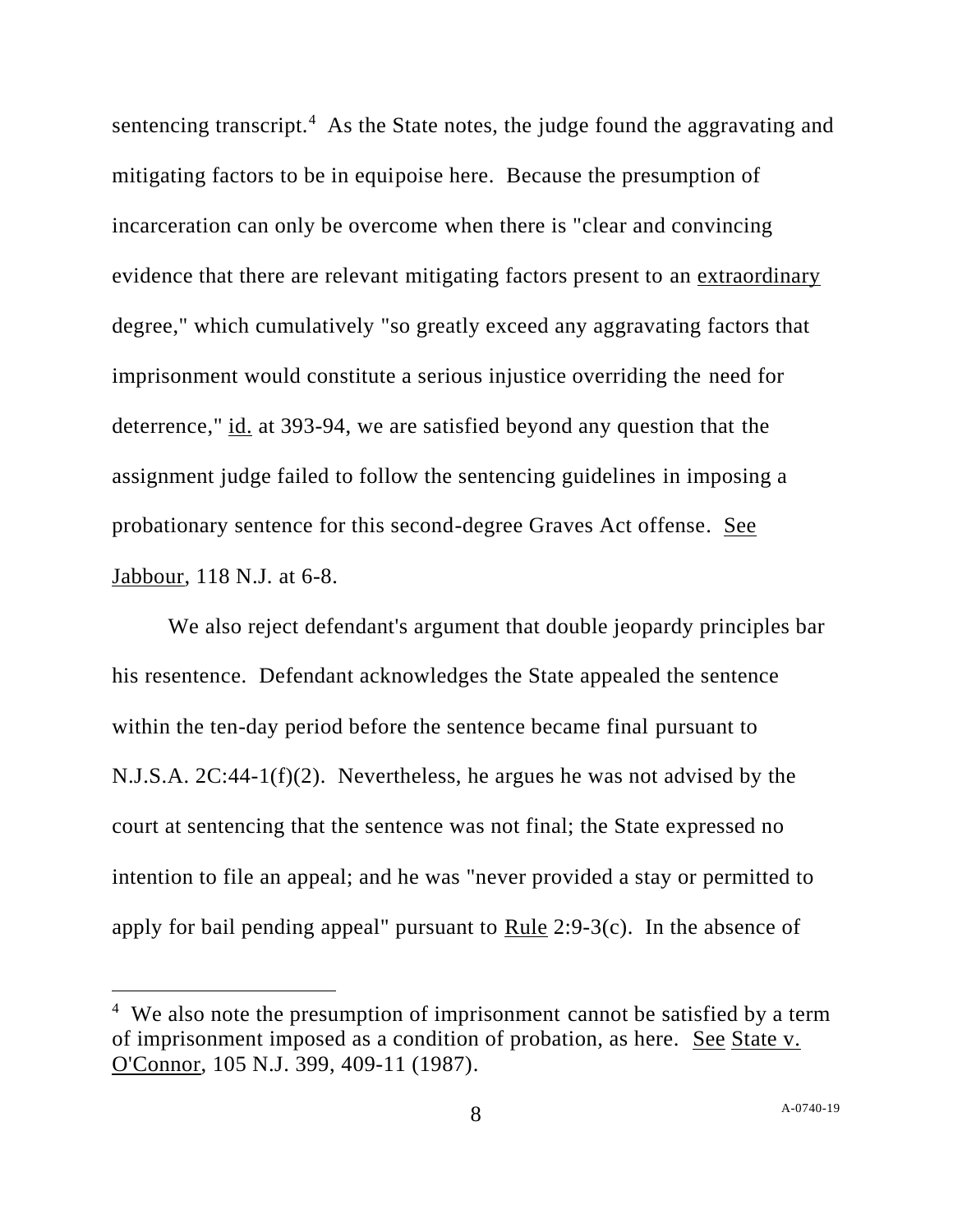sentencing transcript.<sup>4</sup> As the State notes, the judge found the aggravating and mitigating factors to be in equipoise here. Because the presumption of incarceration can only be overcome when there is "clear and convincing evidence that there are relevant mitigating factors present to an extraordinary degree," which cumulatively "so greatly exceed any aggravating factors that imprisonment would constitute a serious injustice overriding the need for deterrence," id. at 393-94, we are satisfied beyond any question that the assignment judge failed to follow the sentencing guidelines in imposing a probationary sentence for this second-degree Graves Act offense. See Jabbour, 118 N.J. at 6-8.

We also reject defendant's argument that double jeopardy principles bar his resentence. Defendant acknowledges the State appealed the sentence within the ten-day period before the sentence became final pursuant to N.J.S.A. 2C:44-1(f)(2). Nevertheless, he argues he was not advised by the court at sentencing that the sentence was not final; the State expressed no intention to file an appeal; and he was "never provided a stay or permitted to apply for bail pending appeal" pursuant to Rule 2:9-3(c). In the absence of

<sup>&</sup>lt;sup>4</sup> We also note the presumption of imprisonment cannot be satisfied by a term of imprisonment imposed as a condition of probation, as here. See State v. O'Connor, 105 N.J. 399, 409-11 (1987).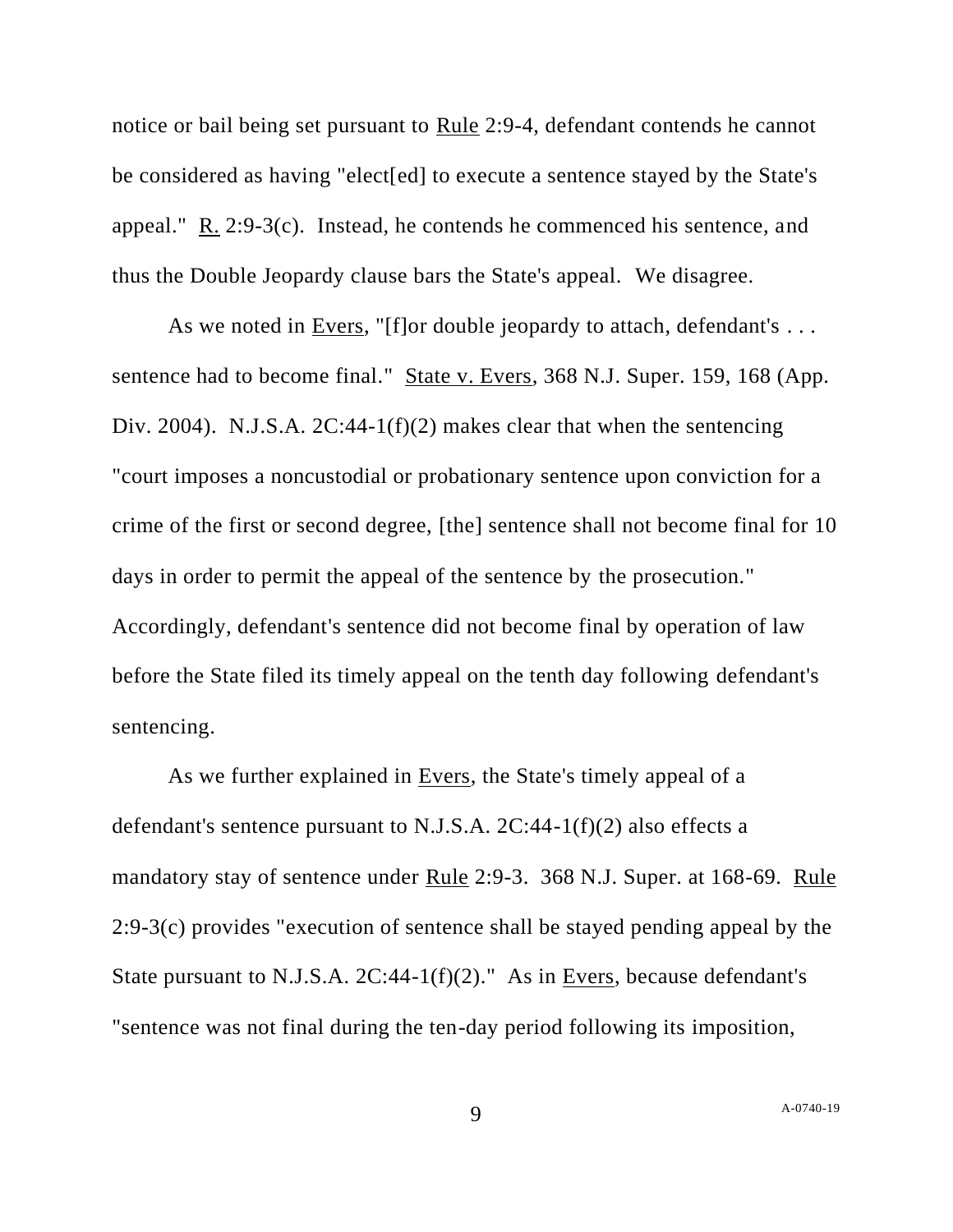notice or bail being set pursuant to Rule 2:9-4, defendant contends he cannot be considered as having "elect[ed] to execute a sentence stayed by the State's appeal." R. 2:9-3(c). Instead, he contends he commenced his sentence, and thus the Double Jeopardy clause bars the State's appeal. We disagree.

As we noted in Evers, "[f]or double jeopardy to attach, defendant's ... sentence had to become final." State v. Evers, 368 N.J. Super. 159, 168 (App. Div. 2004). N.J.S.A. 2C:44-1(f)(2) makes clear that when the sentencing "court imposes a noncustodial or probationary sentence upon conviction for a crime of the first or second degree, [the] sentence shall not become final for 10 days in order to permit the appeal of the sentence by the prosecution." Accordingly, defendant's sentence did not become final by operation of law before the State filed its timely appeal on the tenth day following defendant's sentencing.

As we further explained in <u>Evers</u>, the State's timely appeal of a defendant's sentence pursuant to N.J.S.A.  $2C:44-1(f)(2)$  also effects a mandatory stay of sentence under Rule 2:9-3. 368 N.J. Super. at 168-69. Rule 2:9-3(c) provides "execution of sentence shall be stayed pending appeal by the State pursuant to N.J.S.A. 2C:44-1(f)(2)." As in Evers, because defendant's "sentence was not final during the ten-day period following its imposition,

9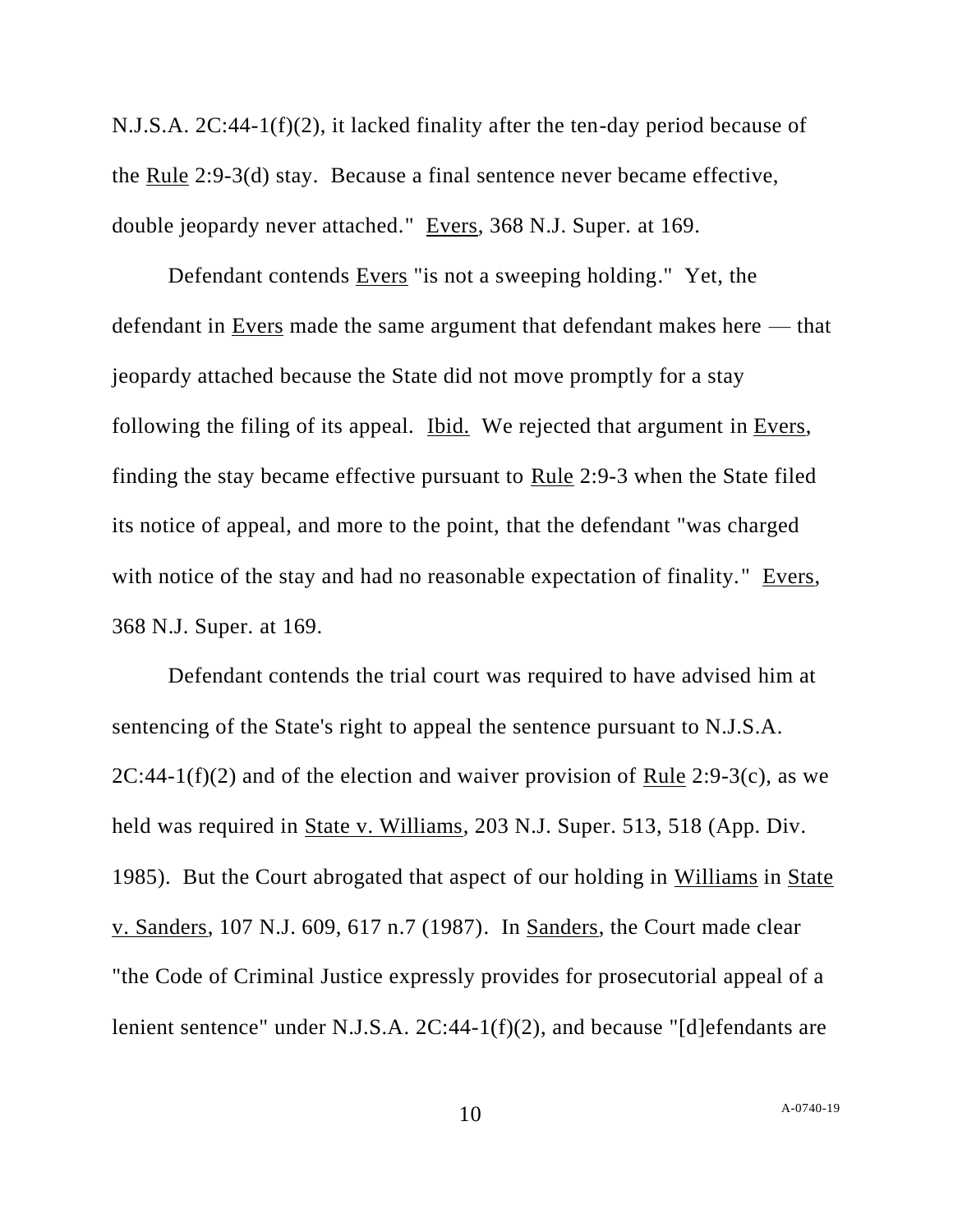N.J.S.A. 2C:44-1(f)(2), it lacked finality after the ten-day period because of the Rule 2:9-3(d) stay. Because a final sentence never became effective, double jeopardy never attached." Evers, 368 N.J. Super. at 169.

Defendant contends Evers "is not a sweeping holding." Yet, the defendant in Evers made the same argument that defendant makes here — that jeopardy attached because the State did not move promptly for a stay following the filing of its appeal. Ibid. We rejected that argument in Evers, finding the stay became effective pursuant to Rule 2:9-3 when the State filed its notice of appeal, and more to the point, that the defendant "was charged with notice of the stay and had no reasonable expectation of finality." Evers, 368 N.J. Super. at 169.

Defendant contends the trial court was required to have advised him at sentencing of the State's right to appeal the sentence pursuant to N.J.S.A. 2C:44-1(f)(2) and of the election and waiver provision of Rule 2:9-3(c), as we held was required in State v. Williams, 203 N.J. Super. 513, 518 (App. Div. 1985). But the Court abrogated that aspect of our holding in Williams in State v. Sanders, 107 N.J. 609, 617 n.7 (1987). In Sanders, the Court made clear "the Code of Criminal Justice expressly provides for prosecutorial appeal of a lenient sentence" under N.J.S.A. 2C:44-1(f)(2), and because "[d]efendants are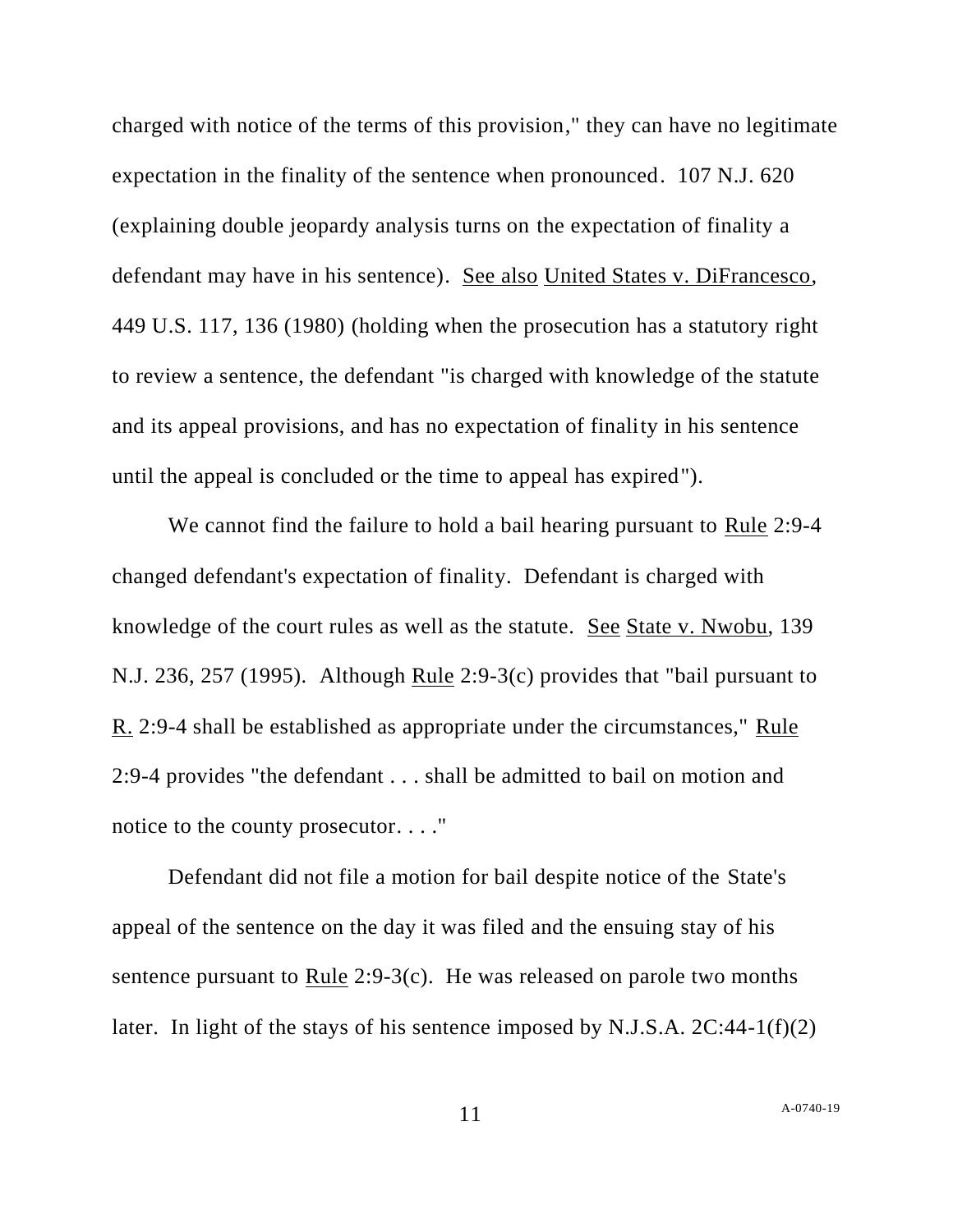charged with notice of the terms of this provision," they can have no legitimate expectation in the finality of the sentence when pronounced. 107 N.J. 620 (explaining double jeopardy analysis turns on the expectation of finality a defendant may have in his sentence). See also United States v. DiFrancesco, 449 U.S. 117, 136 (1980) (holding when the prosecution has a statutory right to review a sentence, the defendant "is charged with knowledge of the statute and its appeal provisions, and has no expectation of finality in his sentence until the appeal is concluded or the time to appeal has expired").

We cannot find the failure to hold a bail hearing pursuant to Rule 2:9-4 changed defendant's expectation of finality. Defendant is charged with knowledge of the court rules as well as the statute. See State v. Nwobu, 139 N.J. 236, 257 (1995). Although Rule 2:9-3(c) provides that "bail pursuant to R. 2:9-4 shall be established as appropriate under the circumstances," Rule 2:9-4 provides "the defendant . . . shall be admitted to bail on motion and notice to the county prosecutor. . . ."

Defendant did not file a motion for bail despite notice of the State's appeal of the sentence on the day it was filed and the ensuing stay of his sentence pursuant to Rule 2:9-3(c). He was released on parole two months later. In light of the stays of his sentence imposed by N.J.S.A.  $2C:44-1(f)(2)$